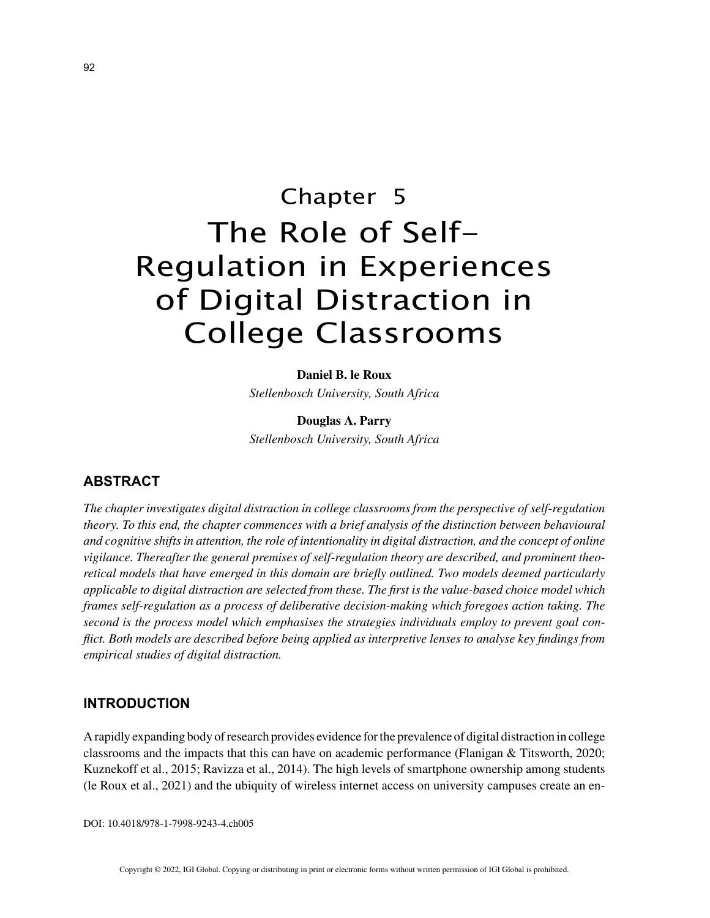# Chapter 5 The Role of Self-Regulation in Experiences of Digital Distraction in College Classrooms

#### **Daniel B. le Roux**

*Stellenbosch University, South Africa*

**Douglas A. Parry** *Stellenbosch University, South Africa*

## **ABSTRACT**

*The chapter investigates digital distraction in college classrooms from the perspective of self-regulation theory. To this end, the chapter commences with a brief analysis of the distinction between behavioural and cognitive shifts in attention, the role of intentionality in digital distraction, and the concept of online vigilance. Thereafter the general premises of self-regulation theory are described, and prominent theoretical models that have emerged in this domain are briefly outlined. Two models deemed particularly applicable to digital distraction are selected from these. The first is the value-based choice model which frames self-regulation as a process of deliberative decision-making which foregoes action taking. The second is the process model which emphasises the strategies individuals employ to prevent goal conflict. Both models are described before being applied as interpretive lenses to analyse key findings from empirical studies of digital distraction.*

## **INTRODUCTION**

A rapidly expanding body of research provides evidence for the prevalence of digital distraction in college classrooms and the impacts that this can have on academic performance (Flanigan & Titsworth, 2020; Kuznekoff et al., 2015; Ravizza et al., 2014). The high levels of smartphone ownership among students (le Roux et al., 2021) and the ubiquity of wireless internet access on university campuses create an en-

DOI: 10.4018/978-1-7998-9243-4.ch005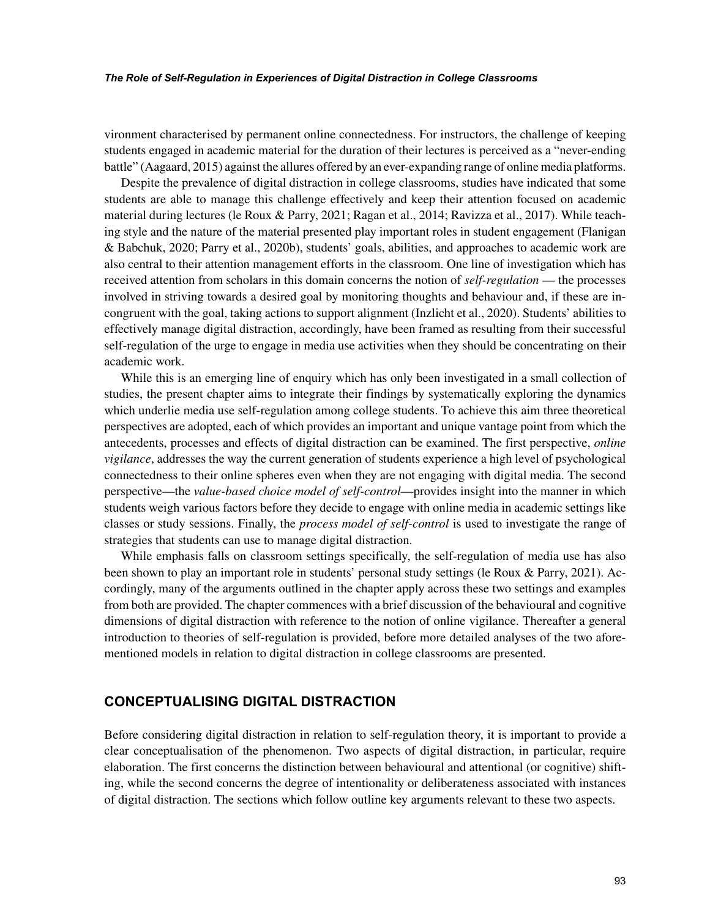#### *The Role of Self-Regulation in Experiences of Digital Distraction in College Classrooms*

vironment characterised by permanent online connectedness. For instructors, the challenge of keeping students engaged in academic material for the duration of their lectures is perceived as a "never-ending battle" (Aagaard, 2015) against the allures offered by an ever-expanding range of online media platforms.

Despite the prevalence of digital distraction in college classrooms, studies have indicated that some students are able to manage this challenge effectively and keep their attention focused on academic material during lectures (le Roux & Parry, 2021; Ragan et al., 2014; Ravizza et al., 2017). While teaching style and the nature of the material presented play important roles in student engagement (Flanigan & Babchuk, 2020; Parry et al., 2020b), students' goals, abilities, and approaches to academic work are also central to their attention management efforts in the classroom. One line of investigation which has received attention from scholars in this domain concerns the notion of *self-regulation* — the processes involved in striving towards a desired goal by monitoring thoughts and behaviour and, if these are incongruent with the goal, taking actions to support alignment (Inzlicht et al., 2020). Students' abilities to effectively manage digital distraction, accordingly, have been framed as resulting from their successful self-regulation of the urge to engage in media use activities when they should be concentrating on their academic work.

While this is an emerging line of enquiry which has only been investigated in a small collection of studies, the present chapter aims to integrate their findings by systematically exploring the dynamics which underlie media use self-regulation among college students. To achieve this aim three theoretical perspectives are adopted, each of which provides an important and unique vantage point from which the antecedents, processes and effects of digital distraction can be examined. The first perspective, *online vigilance*, addresses the way the current generation of students experience a high level of psychological connectedness to their online spheres even when they are not engaging with digital media. The second perspective—the *value-based choice model of self-control*—provides insight into the manner in which students weigh various factors before they decide to engage with online media in academic settings like classes or study sessions. Finally, the *process model of self-control* is used to investigate the range of strategies that students can use to manage digital distraction.

While emphasis falls on classroom settings specifically, the self-regulation of media use has also been shown to play an important role in students' personal study settings (le Roux & Parry, 2021). Accordingly, many of the arguments outlined in the chapter apply across these two settings and examples from both are provided. The chapter commences with a brief discussion of the behavioural and cognitive dimensions of digital distraction with reference to the notion of online vigilance. Thereafter a general introduction to theories of self-regulation is provided, before more detailed analyses of the two aforementioned models in relation to digital distraction in college classrooms are presented.

## **CONCEPTUALISING DIGITAL DISTRACTION**

Before considering digital distraction in relation to self-regulation theory, it is important to provide a clear conceptualisation of the phenomenon. Two aspects of digital distraction, in particular, require elaboration. The first concerns the distinction between behavioural and attentional (or cognitive) shifting, while the second concerns the degree of intentionality or deliberateness associated with instances of digital distraction. The sections which follow outline key arguments relevant to these two aspects.